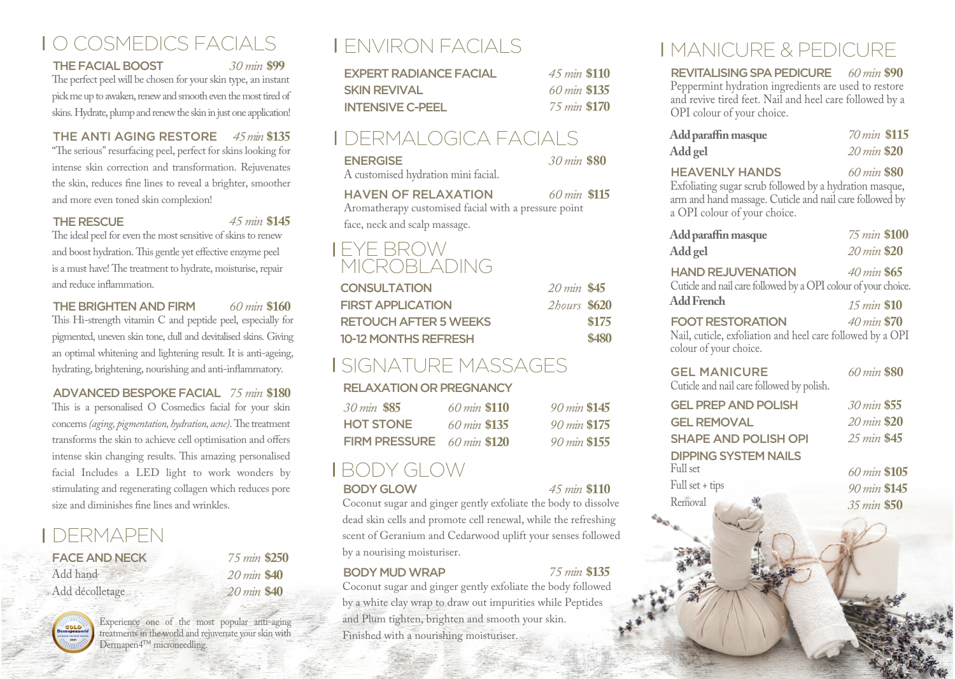# O COSMEDICS FACIALS

#### THE FACIAL BOOST *30 min* **\$99**

The perfect peel will be chosen for your skin type, an instant pick me up to awaken, renew and smooth even the most tired of skins. Hydrate, plump and renew the skin in just one application!

#### THE ANTI AGING RESTORE *45 min* **\$135**

"The serious" resurfacing peel, perfect for skins looking for intense skin correction and transformation. Rejuvenates the skin, reduces fine lines to reveal a brighter, smoother and more even toned skin complexion!

#### THE RESCUE *45 min* **\$145**

The ideal peel for even the most sensitive of skins to renew and boost hydration. This gentle yet effective enzyme peel is a must have! The treatment to hydrate, moisturise, repair and reduce inflammation.

#### THE BRIGHTEN AND FIRM *60 min* **\$160**

This Hi-strength vitamin C and peptide peel, especially for pigmented, uneven skin tone, dull and devitalised skins. Giving an optimal whitening and lightening result. It is anti-ageing, hydrating, brightening, nourishing and anti-inflammatory.

#### ADVANCED BESPOKE FACIAL *75 min* **\$180**

This is a personalised O Cosmedics facial for your skin concerns *(aging, pigmentation, hydration, acne)*. The treatment transforms the skin to achieve cell optimisation and offers intense skin changing results. This amazing personalised facial Includes a LED light to work wonders by stimulating and regenerating collagen which reduces pore size and diminishes fine lines and wrinkles.

## DERMAPEN

| <b>FACE AND NECK</b> |
|----------------------|
| Add hand             |
| Add décolletage      |

| 75 min \$250          |  |
|-----------------------|--|
| 20 min \$40           |  |
| $20 \text{ min}$ \$40 |  |
|                       |  |



Experience one of the most popular anti-aging treatments in the world and rejuvenate your skin with Dermapen4™ microneedling.

# ENVIRON FACIALS

| <b>EXPERT RADIANCE FACIAL</b> | 45 min \$110 |  |
|-------------------------------|--------------|--|
| <b>SKIN REVIVAL</b>           | 60 min \$135 |  |
| <b>INTENSIVE C-PEEL</b>       | 75 min \$170 |  |

### DERMALOGICA FACIALS

| <b>ENERGISE</b>                     | 30 min \$80 |  |
|-------------------------------------|-------------|--|
| A customised hydration mini facial. |             |  |

#### HAVEN OF RELAXATION *60 min* **\$115**

Aromatherapy customised facial with a pressure point face, neck and scalp massage.

### EYE BROW **MICROBLADING**

| <b>CONSULTATION</b>          | $20 \, min \, $45$         |       |
|------------------------------|----------------------------|-------|
| <b>FIRST APPLICATION</b>     | <i><b>2hours</b></i> \$620 |       |
| <b>RETOUCH AFTER 5 WEEKS</b> |                            | \$175 |
| <b>10-12 MONTHS REFRESH</b>  |                            | \$480 |

## SIGNATURE MASSAGES

#### RELAXATION OR PREGNANCY

| 30 min \$85                          | $60 \, min$ \$110        | 90 min \$145 |
|--------------------------------------|--------------------------|--------------|
| <b>HOT STONE</b>                     | $60 \, \text{min}$ \$135 | 90 min \$175 |
| FIRM PRESSURE $60 \text{ min}$ \$120 |                          | 90 min \$155 |

# BODY GLOW

#### BODY GLOW *45 min* **\$110**

Full set Full set + tips **Removal** 

Coconut sugar and ginger gently exfoliate the body to dissolve dead skin cells and promote cell renewal, while the refreshing scent of Geranium and Cedarwood uplift your senses followed by a nourising moisturiser.

#### BODY MUD WRAP *75 min* **\$135**

Coconut sugar and ginger gently exfoliate the body followed by a white clay wrap to draw out impurities while Peptides and Plum tighten, brighten and smooth your skin. Finished with a nourishing moisturiser.

# MANICURE & PEDICURE

REVITALISINGSPAPEDICURE *60min* **\$90** Peppermint hydration ingredients are used to restore and revive tired feet. Nail and heel care followed by a OPI colour of your choice.

| Add paraffin masque<br>Add gel                          | 70 min \$115<br>20 min \$20 |  |
|---------------------------------------------------------|-----------------------------|--|
| <b>HEAVENLY HANDS</b>                                   | 60 min \$80                 |  |
| Exfoliating sugar scrub followed by a hydration masque, |                             |  |

Exfoliating sugar scrub followed by a hydration masque, arm and hand massage. Cuticle and nail care followed by a OPI colour of your choice.

| Add paraffin masque                                                                                             | 75 min \$100                           |
|-----------------------------------------------------------------------------------------------------------------|----------------------------------------|
| Add gel                                                                                                         | 20 min \$20                            |
| <b>HAND REJUVENATION</b><br>Cuticle and nail care followed by a OPI colour of your choice.<br>Add French        | $40 \, min \, $65$<br>$15 \, min$ \$10 |
| <b>FOOT RESTORATION</b><br>Nail, cuticle, exfoliation and heel care followed by a OPI<br>colour of your choice. | $40 \, min$ \$70                       |
| <b>GEL MANICURE</b><br>Cuticle and nail care followed by polish.                                                | 60 min \$80                            |
| <b>GEL PREP AND POLISH</b>                                                                                      | 30 min \$55                            |
| <b>GEL REMOVAL</b>                                                                                              | $20 \, min$ \$20                       |
| <b>SHAPE AND POLISH OPI</b>                                                                                     | $25 \, min$ \$45                       |
| <b>DIPPING SYSTEM NAILS</b>                                                                                     |                                        |

ull set *60min* **\$105** ull set + tips *90min* **\$145** emoval *35min* **\$50**